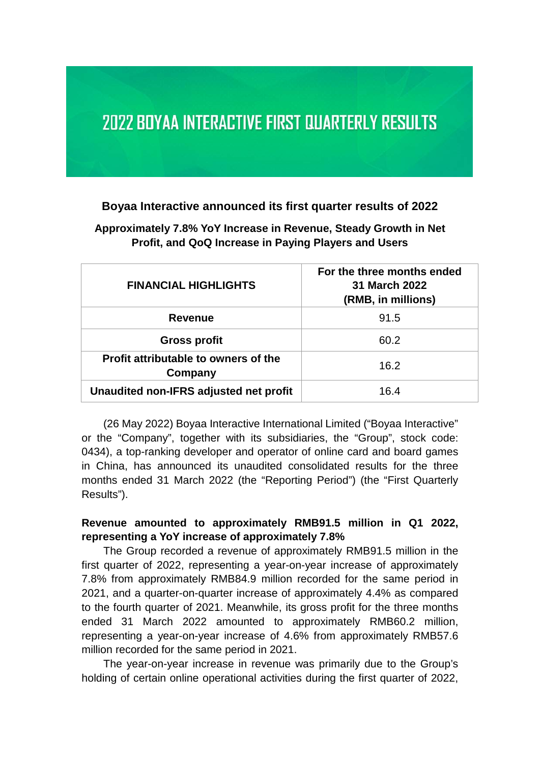# **2022 BOYAA INTERACTIVE FIRST QUARTERLY RESULTS**

#### **Boyaa Interactive announced its first quarter results of 2022**

**Approximately 7.8% YoY Increase in Revenue, Steady Growth in Net Profit, and QoQ Increase in Paying Players and Users** 

| <b>FINANCIAL HIGHLIGHTS</b>                     | For the three months ended<br>31 March 2022<br>(RMB, in millions) |
|-------------------------------------------------|-------------------------------------------------------------------|
| <b>Revenue</b>                                  | 91.5                                                              |
| <b>Gross profit</b>                             | 60.2                                                              |
| Profit attributable to owners of the<br>Company | 16.2                                                              |
| Unaudited non-IFRS adjusted net profit          | 16.4                                                              |

(26 May 2022) Boyaa Interactive International Limited ("Boyaa Interactive" or the "Company", together with its subsidiaries, the "Group", stock code: 0434), a top-ranking developer and operator of online card and board games in China, has announced its unaudited consolidated results for the three months ended 31 March 2022 (the "Reporting Period") (the "First Quarterly Results").

#### **Revenue amounted to approximately RMB91.5 million in Q1 2022, representing a YoY increase of approximately 7.8%**

The Group recorded a revenue of approximately RMB91.5 million in the first quarter of 2022, representing a year-on-year increase of approximately 7.8% from approximately RMB84.9 million recorded for the same period in 2021, and a quarter-on-quarter increase of approximately 4.4% as compared to the fourth quarter of 2021. Meanwhile, its gross profit for the three months ended 31 March 2022 amounted to approximately RMB60.2 million, representing a year-on-year increase of 4.6% from approximately RMB57.6 million recorded for the same period in 2021.

The year-on-year increase in revenue was primarily due to the Group's holding of certain online operational activities during the first quarter of 2022,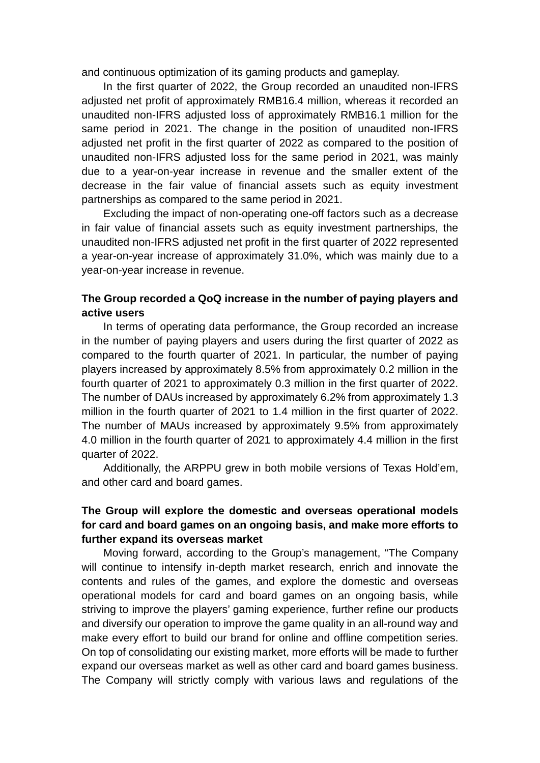and continuous optimization of its gaming products and gameplay.

In the first quarter of 2022, the Group recorded an unaudited non-IFRS adjusted net profit of approximately RMB16.4 million, whereas it recorded an unaudited non-IFRS adjusted loss of approximately RMB16.1 million for the same period in 2021. The change in the position of unaudited non-IFRS adjusted net profit in the first quarter of 2022 as compared to the position of unaudited non-IFRS adjusted loss for the same period in 2021, was mainly due to a year-on-year increase in revenue and the smaller extent of the decrease in the fair value of financial assets such as equity investment partnerships as compared to the same period in 2021.

Excluding the impact of non-operating one-off factors such as a decrease in fair value of financial assets such as equity investment partnerships, the unaudited non-IFRS adjusted net profit in the first quarter of 2022 represented a year-on-year increase of approximately 31.0%, which was mainly due to a year-on-year increase in revenue.

### **The Group recorded a QoQ increase in the number of paying players and active users**

In terms of operating data performance, the Group recorded an increase in the number of paying players and users during the first quarter of 2022 as compared to the fourth quarter of 2021. In particular, the number of paying players increased by approximately 8.5% from approximately 0.2 million in the fourth quarter of 2021 to approximately 0.3 million in the first quarter of 2022. The number of DAUs increased by approximately 6.2% from approximately 1.3 million in the fourth quarter of 2021 to 1.4 million in the first quarter of 2022. The number of MAUs increased by approximately 9.5% from approximately 4.0 million in the fourth quarter of 2021 to approximately 4.4 million in the first quarter of 2022.

Additionally, the ARPPU grew in both mobile versions of Texas Hold'em, and other card and board games.

## **The Group will explore the domestic and overseas operational models for card and board games on an ongoing basis, and make more efforts to further expand its overseas market**

 Moving forward, according to the Group's management, "The Company will continue to intensify in-depth market research, enrich and innovate the contents and rules of the games, and explore the domestic and overseas operational models for card and board games on an ongoing basis, while striving to improve the players' gaming experience, further refine our products and diversify our operation to improve the game quality in an all-round way and make every effort to build our brand for online and offline competition series. On top of consolidating our existing market, more efforts will be made to further expand our overseas market as well as other card and board games business. The Company will strictly comply with various laws and regulations of the